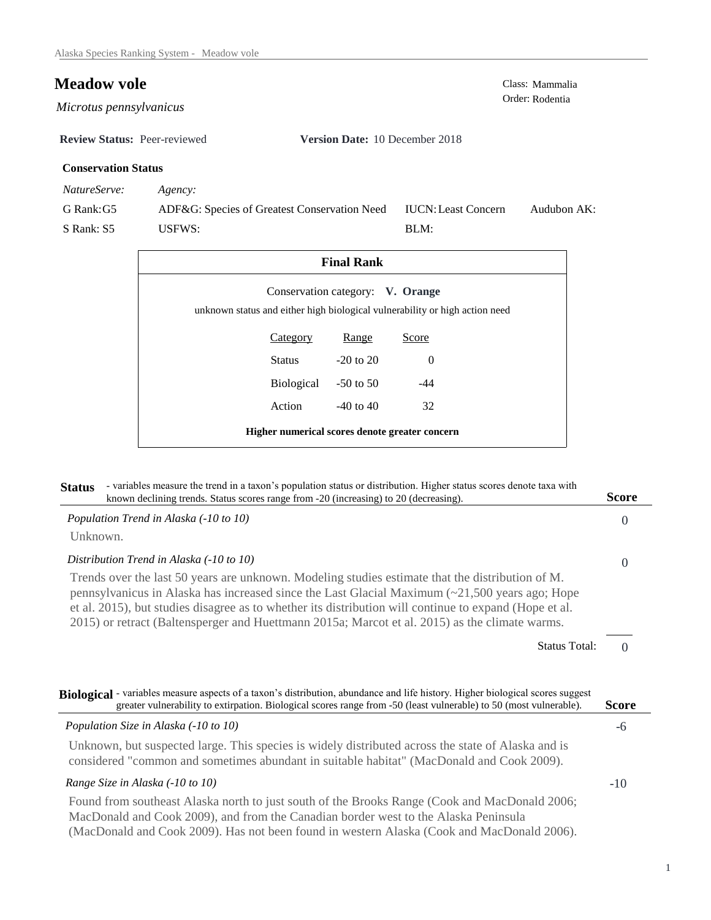## **Meadow vole**<br>Class: Mammalia<br>Order: Rodentia

 $Microtus$  pennsylvanicus

**Review Status:** Peer-reviewed **Version Date:** 10 December 2018

## **Conservation Status**

*NatureServe: Agency:*

G Rank:G5 S Rank: S5 ADF&G: Species of Greatest Conservation Need USFWS: Audubon AK: BLM: IUCN:Least Concern

| <b>Final Rank</b>                                                                                               |                 |               |          |  |  |
|-----------------------------------------------------------------------------------------------------------------|-----------------|---------------|----------|--|--|
| Conservation category: V. Orange<br>unknown status and either high biological vulnerability or high action need |                 |               |          |  |  |
|                                                                                                                 | <b>Category</b> | <b>Range</b>  | Score    |  |  |
|                                                                                                                 | Status          | $-20$ to $20$ | $\Omega$ |  |  |
|                                                                                                                 | Biological      | $-50$ to 50   | $-44$    |  |  |
|                                                                                                                 | Action          | $-40$ to $40$ | 32       |  |  |
| Higher numerical scores denote greater concern                                                                  |                 |               |          |  |  |

| - variables measure the trend in a taxon's population status or distribution. Higher status scores denote taxa with<br><b>Status</b><br>known declining trends. Status scores range from -20 (increasing) to 20 (decreasing).                                                                                                                                                                                        | <b>Score</b> |
|----------------------------------------------------------------------------------------------------------------------------------------------------------------------------------------------------------------------------------------------------------------------------------------------------------------------------------------------------------------------------------------------------------------------|--------------|
| Population Trend in Alaska (-10 to 10)                                                                                                                                                                                                                                                                                                                                                                               | $\Omega$     |
| Unknown.                                                                                                                                                                                                                                                                                                                                                                                                             |              |
| Distribution Trend in Alaska (-10 to 10)                                                                                                                                                                                                                                                                                                                                                                             | $\Omega$     |
| Trends over the last 50 years are unknown. Modeling studies estimate that the distribution of M.<br>pennsylvanicus in Alaska has increased since the Last Glacial Maximum $(\sim 21,500$ years ago; Hope<br>et al. 2015), but studies disagree as to whether its distribution will continue to expand (Hope et al.<br>2015) or retract (Baltensperger and Huettmann 2015a; Marcot et al. 2015) as the climate warms. |              |
| <b>Status Total:</b>                                                                                                                                                                                                                                                                                                                                                                                                 | $\Omega$     |
| Biological - variables measure aspects of a taxon's distribution, abundance and life history. Higher biological scores suggest<br>greater vulnerability to extirpation. Biological scores range from -50 (least vulnerable) to 50 (most vulnerable).                                                                                                                                                                 | <b>Score</b> |
| Population Size in Alaska (-10 to 10)                                                                                                                                                                                                                                                                                                                                                                                | -6           |
| Unknown, but suspected large. This species is widely distributed across the state of Alaska and is<br>considered "common and sometimes abundant in suitable habitat" (MacDonald and Cook 2009).                                                                                                                                                                                                                      |              |
| Range Size in Alaska (-10 to 10)                                                                                                                                                                                                                                                                                                                                                                                     | $-10$        |
| Found from southeast Alaska north to just south of the Brooks Range (Cook and MacDonald 2006;<br>MacDonald and Cook 2009), and from the Canadian border west to the Alaska Peninsula                                                                                                                                                                                                                                 |              |

(MacDonald and Cook 2009). Has not been found in western Alaska (Cook and MacDonald 2006).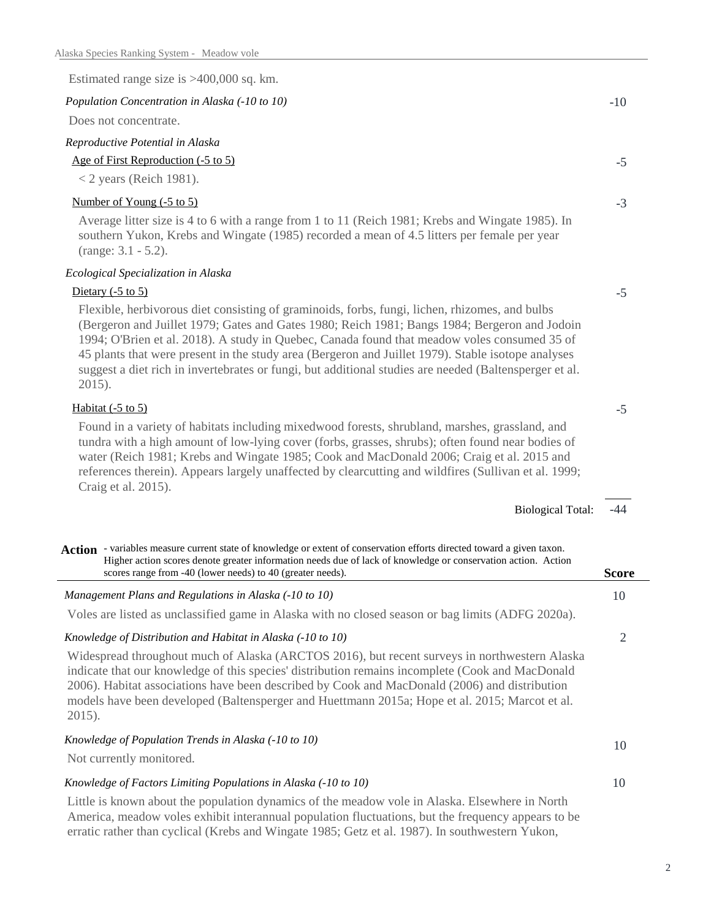| Estimated range size is $>400,000$ sq. km.                                                                                                                                                                                                                                                                                                                                                                                                                                                                                   |              |
|------------------------------------------------------------------------------------------------------------------------------------------------------------------------------------------------------------------------------------------------------------------------------------------------------------------------------------------------------------------------------------------------------------------------------------------------------------------------------------------------------------------------------|--------------|
| Population Concentration in Alaska (-10 to 10)                                                                                                                                                                                                                                                                                                                                                                                                                                                                               | $-10$        |
| Does not concentrate.                                                                                                                                                                                                                                                                                                                                                                                                                                                                                                        |              |
| Reproductive Potential in Alaska                                                                                                                                                                                                                                                                                                                                                                                                                                                                                             |              |
| Age of First Reproduction (-5 to 5)                                                                                                                                                                                                                                                                                                                                                                                                                                                                                          | $-5$         |
| $<$ 2 years (Reich 1981).                                                                                                                                                                                                                                                                                                                                                                                                                                                                                                    |              |
| Number of Young (-5 to 5)                                                                                                                                                                                                                                                                                                                                                                                                                                                                                                    | $-3$         |
| Average litter size is 4 to 6 with a range from 1 to 11 (Reich 1981; Krebs and Wingate 1985). In<br>southern Yukon, Krebs and Wingate (1985) recorded a mean of 4.5 litters per female per year<br>$(range: 3.1 - 5.2).$                                                                                                                                                                                                                                                                                                     |              |
| Ecological Specialization in Alaska                                                                                                                                                                                                                                                                                                                                                                                                                                                                                          |              |
| Dietary $(-5 \text{ to } 5)$                                                                                                                                                                                                                                                                                                                                                                                                                                                                                                 | $-5$         |
| Flexible, herbivorous diet consisting of graminoids, forbs, fungi, lichen, rhizomes, and bulbs<br>(Bergeron and Juillet 1979; Gates and Gates 1980; Reich 1981; Bangs 1984; Bergeron and Jodoin<br>1994; O'Brien et al. 2018). A study in Quebec, Canada found that meadow voles consumed 35 of<br>45 plants that were present in the study area (Bergeron and Juillet 1979). Stable isotope analyses<br>suggest a diet rich in invertebrates or fungi, but additional studies are needed (Baltensperger et al.<br>$2015$ ). |              |
| Habitat $(-5 \text{ to } 5)$                                                                                                                                                                                                                                                                                                                                                                                                                                                                                                 | $-5$         |
| Found in a variety of habitats including mixedwood forests, shrubland, marshes, grassland, and<br>tundra with a high amount of low-lying cover (forbs, grasses, shrubs); often found near bodies of<br>water (Reich 1981; Krebs and Wingate 1985; Cook and MacDonald 2006; Craig et al. 2015 and<br>references therein). Appears largely unaffected by clearcutting and wildfires (Sullivan et al. 1999;<br>Craig et al. 2015).                                                                                              |              |
| <b>Biological Total:</b>                                                                                                                                                                                                                                                                                                                                                                                                                                                                                                     | $-44$        |
| Action - variables measure current state of knowledge or extent of conservation efforts directed toward a given taxon.<br>Higher action scores denote greater information needs due of lack of knowledge or conservation action. Action<br>scores range from -40 (lower needs) to 40 (greater needs).                                                                                                                                                                                                                        | <b>Score</b> |
| Management Plans and Regulations in Alaska (-10 to 10)                                                                                                                                                                                                                                                                                                                                                                                                                                                                       | 10           |
| Voles are listed as unclassified game in Alaska with no closed season or bag limits (ADFG 2020a).                                                                                                                                                                                                                                                                                                                                                                                                                            |              |
| Knowledge of Distribution and Habitat in Alaska (-10 to 10)                                                                                                                                                                                                                                                                                                                                                                                                                                                                  | 2            |
| Widespread throughout much of Alaska (ARCTOS 2016), but recent surveys in northwestern Alaska<br>indicate that our knowledge of this species' distribution remains incomplete (Cook and MacDonald<br>2006). Habitat associations have been described by Cook and MacDonald (2006) and distribution<br>models have been developed (Baltensperger and Huettmann 2015a; Hope et al. 2015; Marcot et al.<br>$2015$ ).                                                                                                            |              |
| Knowledge of Population Trends in Alaska (-10 to 10)<br>Not currently monitored.                                                                                                                                                                                                                                                                                                                                                                                                                                             | 10           |
|                                                                                                                                                                                                                                                                                                                                                                                                                                                                                                                              |              |

## *Knowledge of Factors Limiting Populations in Alaska (-10 to 10)*

 $\overline{a}$ 

Little is known about the population dynamics of the meadow vole in Alaska. Elsewhere in North America, meadow voles exhibit interannual population fluctuations, but the frequency appears to be erratic rather than cyclical (Krebs and Wingate 1985; Getz et al. 1987). In southwestern Yukon,

10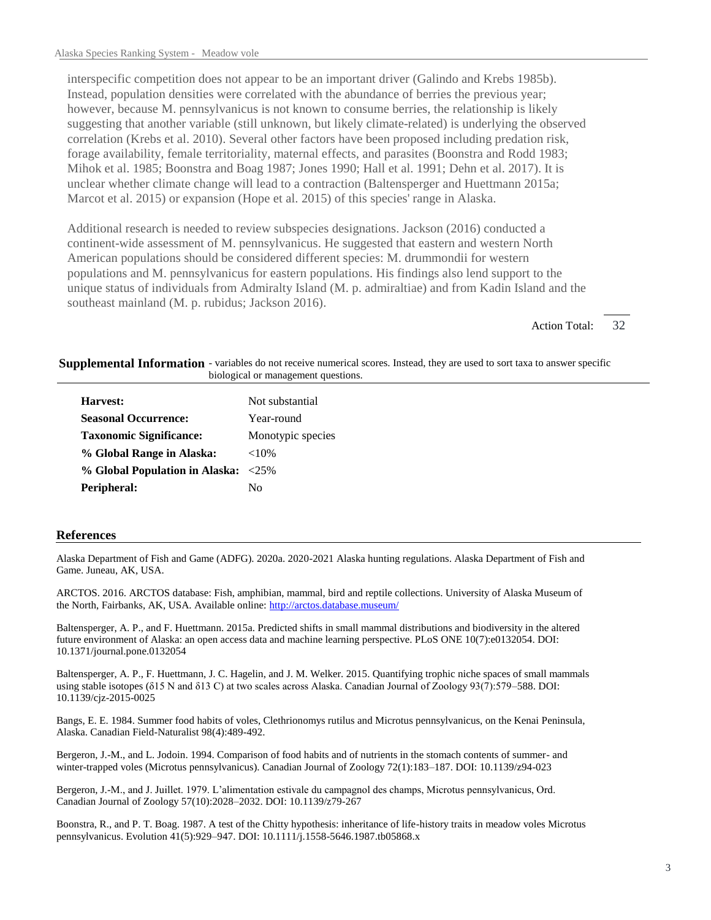interspecific competition does not appear to be an important driver (Galindo and Krebs 1985b). Instead, population densities were correlated with the abundance of berries the previous year; however, because M. pennsylvanicus is not known to consume berries, the relationship is likely suggesting that another variable (still unknown, but likely climate-related) is underlying the observed correlation (Krebs et al. 2010). Several other factors have been proposed including predation risk, forage availability, female territoriality, maternal effects, and parasites (Boonstra and Rodd 1983; Mihok et al. 1985; Boonstra and Boag 1987; Jones 1990; Hall et al. 1991; Dehn et al. 2017). It is unclear whether climate change will lead to a contraction (Baltensperger and Huettmann 2015a; Marcot et al. 2015) or expansion (Hope et al. 2015) of this species' range in Alaska.

Additional research is needed to review subspecies designations. Jackson (2016) conducted a continent-wide assessment of M. pennsylvanicus. He suggested that eastern and western North American populations should be considered different species: M. drummondii for western populations and M. pennsylvanicus for eastern populations. His findings also lend support to the unique status of individuals from Admiralty Island (M. p. admiraltiae) and from Kadin Island and the southeast mainland (M. p. rubidus; Jackson 2016).

> 32 Action Total:

Supplemental Information - variables do not receive numerical scores. Instead, they are used to sort taxa to answer specific biological or management questions.

| Harvest:                            | Not substantial   |
|-------------------------------------|-------------------|
| <b>Seasonal Occurrence:</b>         | Year-round        |
| <b>Taxonomic Significance:</b>      | Monotypic species |
| % Global Range in Alaska:           | ${<}10\%$         |
| % Global Population in Alaska: <25% |                   |
| Peripheral:                         | Nο                |

## **References**

Alaska Department of Fish and Game (ADFG). 2020a. 2020-2021 Alaska hunting regulations. Alaska Department of Fish and Game. Juneau, AK, USA.

ARCTOS. 2016. ARCTOS database: Fish, amphibian, mammal, bird and reptile collections. University of Alaska Museum of the North, Fairbanks, AK, USA. Available online: http://arctos.database.museum/

Baltensperger, A. P., and F. Huettmann. 2015a. Predicted shifts in small mammal distributions and biodiversity in the altered future environment of Alaska: an open access data and machine learning perspective. PLoS ONE 10(7):e0132054. DOI: 10.1371/journal.pone.0132054

Baltensperger, A. P., F. Huettmann, J. C. Hagelin, and J. M. Welker. 2015. Quantifying trophic niche spaces of small mammals using stable isotopes ( $\delta$ 15 N and  $\delta$ 13 C) at two scales across Alaska. Canadian Journal of Zoology 93(7):579–588. DOI: 10.1139/cjz-2015-0025

Bangs, E. E. 1984. Summer food habits of voles, Clethrionomys rutilus and Microtus pennsylvanicus, on the Kenai Peninsula, Alaska. Canadian Field-Naturalist 98(4):489-492.

Bergeron, J.-M., and L. Jodoin. 1994. Comparison of food habits and of nutrients in the stomach contents of summer- and winter-trapped voles (Microtus pennsylvanicus). Canadian Journal of Zoology 72(1):183–187. DOI: 10.1139/z94-023

Bergeron, J.-M., and J. Juillet. 1979. L'alimentation estivale du campagnol des champs, Microtus pennsylvanicus, Ord. Canadian Journal of Zoology 57(10):2028–2032. DOI: 10.1139/z79-267

Boonstra, R., and P. T. Boag. 1987. A test of the Chitty hypothesis: inheritance of life-history traits in meadow voles Microtus pennsylvanicus. Evolution 41(5):929–947. DOI: 10.1111/j.1558-5646.1987.tb05868.x